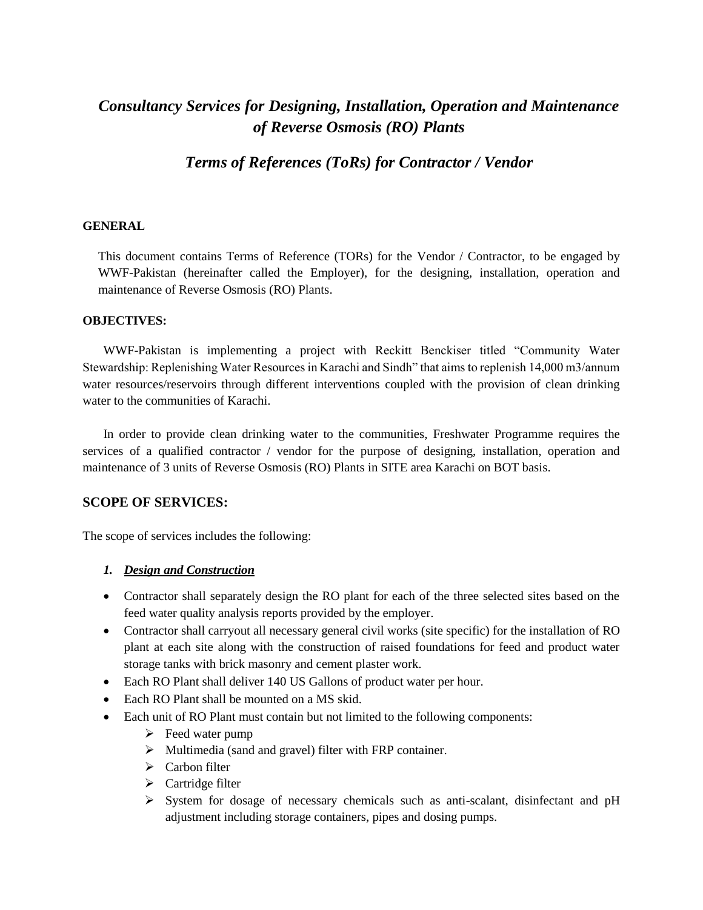# *Consultancy Services for Designing, Installation, Operation and Maintenance of Reverse Osmosis (RO) Plants*

*Terms of References (ToRs) for Contractor / Vendor*

#### **GENERAL**

This document contains Terms of Reference (TORs) for the Vendor / Contractor, to be engaged by WWF-Pakistan (hereinafter called the Employer), for the designing, installation, operation and maintenance of Reverse Osmosis (RO) Plants.

#### **OBJECTIVES:**

WWF-Pakistan is implementing a project with Reckitt Benckiser titled "Community Water Stewardship: Replenishing Water Resources in Karachi and Sindh" that aims to replenish 14,000 m3/annum water resources/reservoirs through different interventions coupled with the provision of clean drinking water to the communities of Karachi.

In order to provide clean drinking water to the communities, Freshwater Programme requires the services of a qualified contractor / vendor for the purpose of designing, installation, operation and maintenance of 3 units of Reverse Osmosis (RO) Plants in SITE area Karachi on BOT basis.

#### **SCOPE OF SERVICES:**

The scope of services includes the following:

#### *1. Design and Construction*

- Contractor shall separately design the RO plant for each of the three selected sites based on the feed water quality analysis reports provided by the employer.
- Contractor shall carryout all necessary general civil works (site specific) for the installation of RO plant at each site along with the construction of raised foundations for feed and product water storage tanks with brick masonry and cement plaster work.
- Each RO Plant shall deliver 140 US Gallons of product water per hour.
- Each RO Plant shall be mounted on a MS skid.
- Each unit of RO Plant must contain but not limited to the following components:
	- $\triangleright$  Feed water pump
	- $\triangleright$  Multimedia (sand and gravel) filter with FRP container.
	- $\triangleright$  Carbon filter
	- $\triangleright$  Cartridge filter
	- $\triangleright$  System for dosage of necessary chemicals such as anti-scalant, disinfectant and pH adjustment including storage containers, pipes and dosing pumps.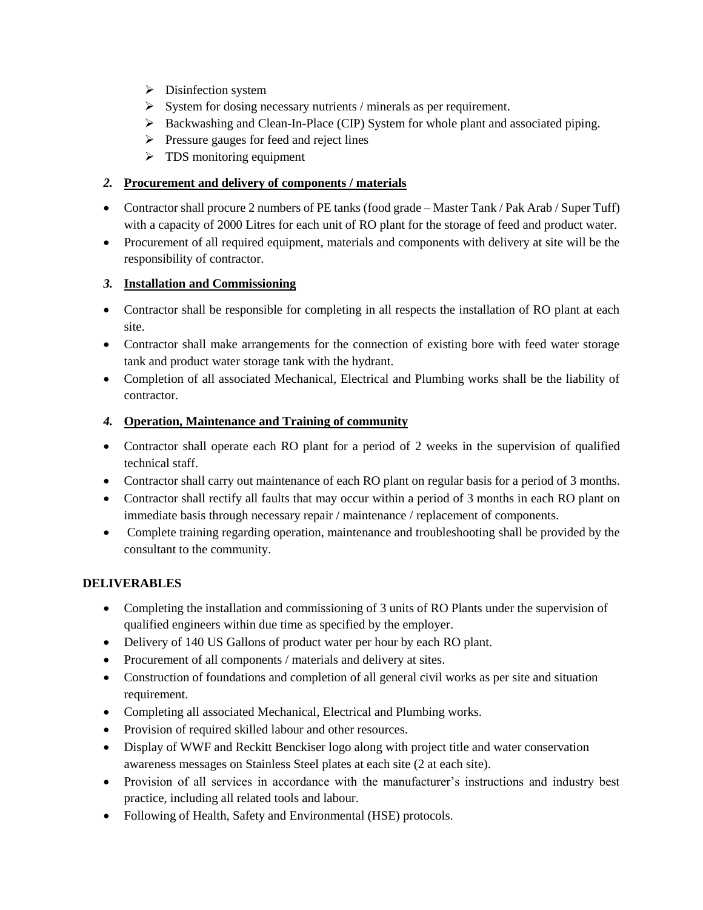- $\triangleright$  Disinfection system
- $\triangleright$  System for dosing necessary nutrients / minerals as per requirement.
- $\triangleright$  Backwashing and Clean-In-Place (CIP) System for whole plant and associated piping.
- $\triangleright$  Pressure gauges for feed and reject lines
- $\triangleright$  TDS monitoring equipment

# *2.* **Procurement and delivery of components / materials**

- Contractor shall procure 2 numbers of PE tanks (food grade Master Tank / Pak Arab / Super Tuff) with a capacity of 2000 Litres for each unit of RO plant for the storage of feed and product water.
- Procurement of all required equipment, materials and components with delivery at site will be the responsibility of contractor.

## *3.* **Installation and Commissioning**

- Contractor shall be responsible for completing in all respects the installation of RO plant at each site.
- Contractor shall make arrangements for the connection of existing bore with feed water storage tank and product water storage tank with the hydrant.
- Completion of all associated Mechanical, Electrical and Plumbing works shall be the liability of contractor.

## *4.* **Operation, Maintenance and Training of community**

- Contractor shall operate each RO plant for a period of 2 weeks in the supervision of qualified technical staff.
- Contractor shall carry out maintenance of each RO plant on regular basis for a period of 3 months.
- Contractor shall rectify all faults that may occur within a period of 3 months in each RO plant on immediate basis through necessary repair / maintenance / replacement of components.
- Complete training regarding operation, maintenance and troubleshooting shall be provided by the consultant to the community.

## **DELIVERABLES**

- Completing the installation and commissioning of 3 units of RO Plants under the supervision of qualified engineers within due time as specified by the employer.
- Delivery of 140 US Gallons of product water per hour by each RO plant.
- Procurement of all components / materials and delivery at sites.
- Construction of foundations and completion of all general civil works as per site and situation requirement.
- Completing all associated Mechanical, Electrical and Plumbing works.
- Provision of required skilled labour and other resources.
- Display of WWF and Reckitt Benckiser logo along with project title and water conservation awareness messages on Stainless Steel plates at each site (2 at each site).
- Provision of all services in accordance with the manufacturer's instructions and industry best practice, including all related tools and labour.
- Following of Health, Safety and Environmental (HSE) protocols.